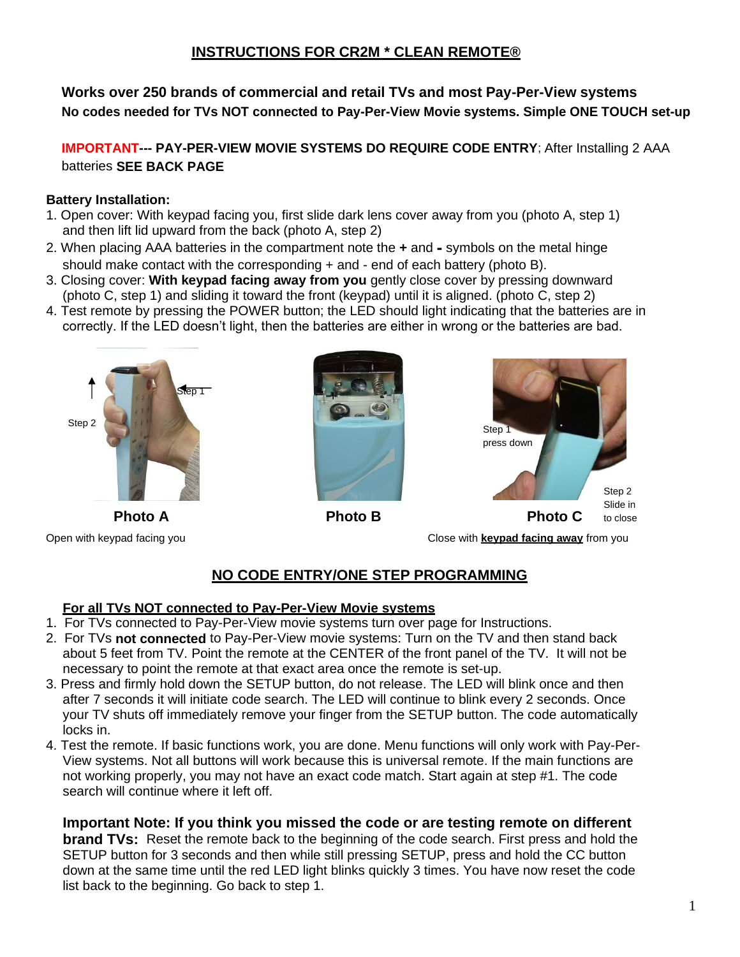# **INSTRUCTIONS FOR CR2M \* CLEAN REMOTE®**

**Works over 250 brands of commercial and retail TVs and most Pay-Per-View systems No codes needed for TVs NOT connected to Pay-Per-View Movie systems. Simple ONE TOUCH set-up** 

**IMPORTANT--- PAY-PER-VIEW MOVIE SYSTEMS DO REQUIRE CODE ENTRY**; After Installing 2 AAA batteries **SEE BACK PAGE**

#### **Battery Installation:**

- 1. Open cover: With keypad facing you, first slide dark lens cover away from you (photo A, step 1) and then lift lid upward from the back (photo A, step 2)
- 2. When placing AAA batteries in the compartment note the **+** and **-** symbols on the metal hinge should make contact with the corresponding + and - end of each battery (photo B).
- 3. Closing cover: **With keypad facing away from you** gently close cover by pressing downward (photo C, step 1) and sliding it toward the front (keypad) until it is aligned. (photo C, step 2)
- 4. Test remote by pressing the POWER button; the LED should light indicating that the batteries are in correctly. If the LED doesn't light, then the batteries are either in wrong or the batteries are bad.







Open with keypad facing you Close with **keypad facing away** from you

# **NO CODE ENTRY/ONE STEP PROGRAMMING**

#### **For all TVs NOT connected to Pay-Per-View Movie systems**

- 1. For TVs connected to Pay-Per-View movie systems turn over page for Instructions.
- 2. For TVs **not connected** to Pay-Per-View movie systems: Turn on the TV and then stand back about 5 feet from TV. Point the remote at the CENTER of the front panel of the TV. It will not be necessary to point the remote at that exact area once the remote is set-up.
- 3. Press and firmly hold down the SETUP button, do not release. The LED will blink once and then after 7 seconds it will initiate code search. The LED will continue to blink every 2 seconds. Once your TV shuts off immediately remove your finger from the SETUP button. The code automatically locks in.
- 4. Test the remote. If basic functions work, you are done. Menu functions will only work with Pay-Per-View systems. Not all buttons will work because this is universal remote. If the main functions are not working properly, you may not have an exact code match. Start again at step #1. The code search will continue where it left off.

## **Important Note: If you think you missed the code or are testing remote on different**

**brand TVs:** Reset the remote back to the beginning of the code search. First press and hold the SETUP button for 3 seconds and then while still pressing SETUP, press and hold the CC button down at the same time until the red LED light blinks quickly 3 times. You have now reset the code list back to the beginning. Go back to step 1.